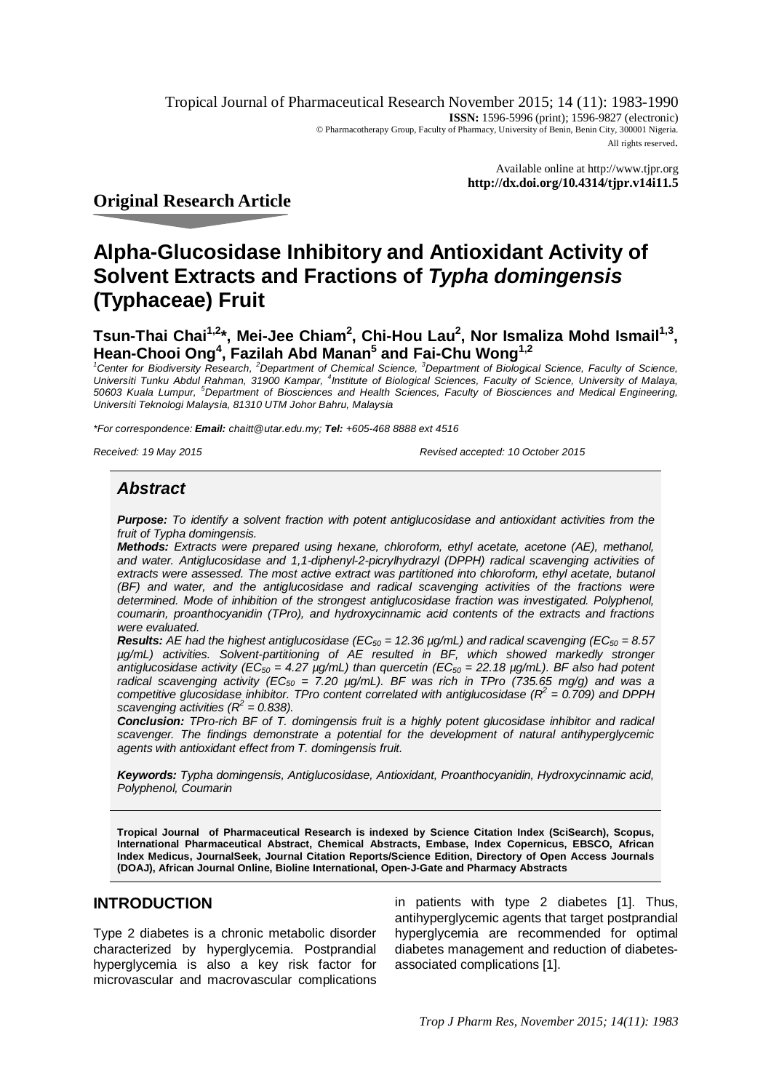Tropical Journal of Pharmaceutical Research November 2015; 14 (11): 1983-1990 **ISSN:** 1596-5996 (print); 1596-9827 (electronic) © Pharmacotherapy Group, Faculty of Pharmacy, University of Benin, Benin City, 300001 Nigeria. All rights reserved.

> Available online at <http://www.tjpr.org> **<http://dx.doi.org/10.4314/tjpr.v14i11.5>**

**Original Research Article**

# **Alpha-Glucosidase Inhibitory and Antioxidant Activity of Solvent Extracts and Fractions of** *Typha domingensis* **(Typhaceae) Fruit**

**Tsun-Thai Chai1,2\*, Mei-Jee Chiam<sup>2</sup> , Chi-Hou Lau<sup>2</sup> , Nor Ismaliza Mohd Ismail1,3 , Hean-Chooi Ong<sup>4</sup> , Fazilah Abd Manan<sup>5</sup> and Fai-Chu Wong1,2**

*<sup>1</sup>Center for Biodiversity Research, <sup>2</sup>Department of Chemical Science, <sup>3</sup>Department of Biological Science, Faculty of Science,*  Universiti Tunku Abdul Rahman, 31900 Kampar, <sup>4</sup>Institute of Biological Sciences, Faculty of Science, University of Malaya,<br>50603 Kuala Lumpur, <sup>5</sup>Department of Biosciences and Health Sciences, Faculty of Biosciences and M *Universiti Teknologi Malaysia, 81310 UTM Johor Bahru, Malaysia*

*\*For correspondence: Email: [chaitt@utar.edu.my;](mailto:chaitt@utar.edu.my;) Tel: +605-468 8888 ext 4516*

*Received: 19 May 2015 Revised accepted: 10 October 2015*

# *Abstract*

*Purpose: To identify a solvent fraction with potent antiglucosidase and antioxidant activities from the fruit of Typha domingensis.* 

*Methods: Extracts were prepared using hexane, chloroform, ethyl acetate, acetone (AE), methanol, and water. Antiglucosidase and 1,1-diphenyl-2-picrylhydrazyl (DPPH) radical scavenging activities of*  extracts were assessed. The most active extract was partitioned into chloroform, ethyl acetate, butanol *(BF) and water, and the antiglucosidase and radical scavenging activities of the fractions were determined. Mode of inhibition of the strongest antiglucosidase fraction was investigated. Polyphenol, coumarin, proanthocyanidin (TPro), and hydroxycinnamic acid contents of the extracts and fractions were evaluated.* 

*Results: AE had the highest antiglucosidase (EC<sup>50</sup> = 12.36 µg/mL) and radical scavenging (EC<sup>50</sup> = 8.57 µg/mL) activities. Solvent-partitioning of AE resulted in BF, which showed markedly stronger antiglucosidase activity (EC<sup>50</sup> = 4.27 µg/mL) than quercetin (EC<sup>50</sup> = 22.18 µg/mL). BF also had potent radical scavenging activity (EC<sup>50</sup> = 7.20 µg/mL). BF was rich in TPro (735.65 mg/g) and was a competitive glucosidase inhibitor. TPro content correlated with antiglucosidase (R<sup>2</sup> = 0.709) and DPPH scavenging activities*  $(R^2 = 0.838)$ *.* 

*Conclusion: TPro-rich BF of T. domingensis fruit is a highly potent glucosidase inhibitor and radical scavenger. The findings demonstrate a potential for the development of natural antihyperglycemic agents with antioxidant effect from T. domingensis fruit.*

*Keywords: Typha domingensis, Antiglucosidase, Antioxidant, Proanthocyanidin, Hydroxycinnamic acid, Polyphenol, Coumarin*

**Tropical Journal of Pharmaceutical Research is indexed by Science Citation Index (SciSearch), Scopus, International Pharmaceutical Abstract, Chemical Abstracts, Embase, Index Copernicus, EBSCO, African Index Medicus, JournalSeek, Journal Citation Reports/Science Edition, Directory of Open Access Journals (DOAJ), African Journal Online, Bioline International, Open-J-Gate and Pharmacy Abstracts**

# **INTRODUCTION**

Type 2 diabetes is a chronic metabolic disorder characterized by hyperglycemia. Postprandial hyperglycemia is also a key risk factor for microvascular and macrovascular complications in patients with type 2 diabetes [1]. Thus, antihyperglycemic agents that target postprandial hyperglycemia are recommended for optimal diabetes management and reduction of diabetesassociated complications [1].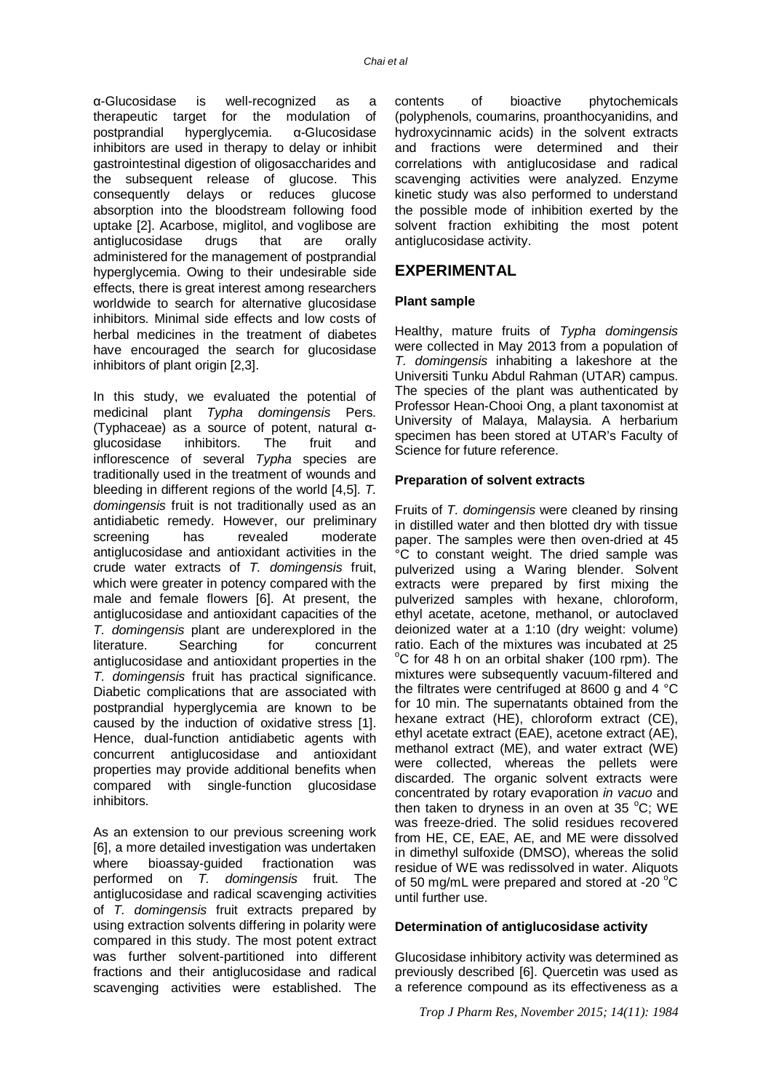α-Glucosidase is well-recognized as a therapeutic target for the modulation of postprandial hyperglycemia. α-Glucosidase inhibitors are used in therapy to delay or inhibit gastrointestinal digestion of oligosaccharides and the subsequent release of glucose. This consequently delays or reduces glucose absorption into the bloodstream following food uptake [2]. Acarbose, miglitol, and voglibose are antiglucosidase drugs that are orally administered for the management of postprandial hyperglycemia. Owing to their undesirable side effects, there is great interest among researchers worldwide to search for alternative glucosidase inhibitors. Minimal side effects and low costs of herbal medicines in the treatment of diabetes have encouraged the search for glucosidase inhibitors of plant origin [2,3].

In this study, we evaluated the potential of medicinal plant *Typha domingensis* Pers. (Typhaceae) as a source of potent, natural αglucosidase inhibitors. The fruit and inflorescence of several *Typha* species are traditionally used in the treatment of wounds and bleeding in different regions of the world [4,5]. *T. domingensis* fruit is not traditionally used as an antidiabetic remedy. However, our preliminary screening has revealed moderate antiglucosidase and antioxidant activities in the crude water extracts of *T. domingensis* fruit, which were greater in potency compared with the male and female flowers [6]. At present, the antiglucosidase and antioxidant capacities of the *T. domingensis* plant are underexplored in the literature. Searching for concurrent antiglucosidase and antioxidant properties in the *T. domingensis* fruit has practical significance. Diabetic complications that are associated with postprandial hyperglycemia are known to be caused by the induction of oxidative stress [1]. Hence, dual-function antidiabetic agents with concurrent antiglucosidase and antioxidant properties may provide additional benefits when compared with single-function glucosidase inhibitors.

As an extension to our previous screening work [6], a more detailed investigation was undertaken where bioassay-quided fractionation was performed on *T. domingensis* fruit. The antiglucosidase and radical scavenging activities of *T. domingensis* fruit extracts prepared by using extraction solvents differing in polarity were compared in this study. The most potent extract was further solvent-partitioned into different fractions and their antiglucosidase and radical scavenging activities were established. The

contents of bioactive phytochemicals (polyphenols, coumarins, proanthocyanidins, and hydroxycinnamic acids) in the solvent extracts and fractions were determined and their correlations with antiglucosidase and radical scavenging activities were analyzed. Enzyme kinetic study was also performed to understand the possible mode of inhibition exerted by the solvent fraction exhibiting the most potent antiglucosidase activity.

## **EXPERIMENTAL**

#### **Plant sample**

Healthy, mature fruits of *Typha domingensis* were collected in May 2013 from a population of *T. domingensis* inhabiting a lakeshore at the Universiti Tunku Abdul Rahman (UTAR) campus. The species of the plant was authenticated by Professor Hean-Chooi Ong, a plant taxonomist at University of Malaya, Malaysia. A herbarium specimen has been stored at UTAR's Faculty of Science for future reference.

#### **Preparation of solvent extracts**

Fruits of *T. domingensis* were cleaned by rinsing in distilled water and then blotted dry with tissue paper. The samples were then oven-dried at 45 °C to constant weight. The dried sample was pulverized using a Waring blender. Solvent extracts were prepared by first mixing the pulverized samples with hexane, chloroform, ethyl acetate, acetone, methanol, or autoclaved deionized water at a 1:10 (dry weight: volume) ratio. Each of the mixtures was incubated at 25  $\degree$ C for 48 h on an orbital shaker (100 rpm). The mixtures were subsequently vacuum-filtered and the filtrates were centrifuged at 8600 g and 4 °C for 10 min. The supernatants obtained from the hexane extract (HE), chloroform extract (CE), ethyl acetate extract (EAE), acetone extract (AE), methanol extract (ME), and water extract (WE) were collected, whereas the pellets were discarded. The organic solvent extracts were concentrated by rotary evaporation *in vacuo* and then taken to dryness in an oven at 35  $^{\circ}$ C; WE was freeze-dried. The solid residues recovered from HE, CE, EAE, AE, and ME were dissolved in dimethyl sulfoxide (DMSO), whereas the solid residue of WE was redissolved in water. Aliquots of 50 mg/mL were prepared and stored at -20  $^{\circ}$ C until further use.

#### **Determination of antiglucosidase activity**

Glucosidase inhibitory activity was determined as previously described [6]. Quercetin was used as a reference compound as its effectiveness as a

*Trop J Pharm Res, November 2015; 14(11): 1984*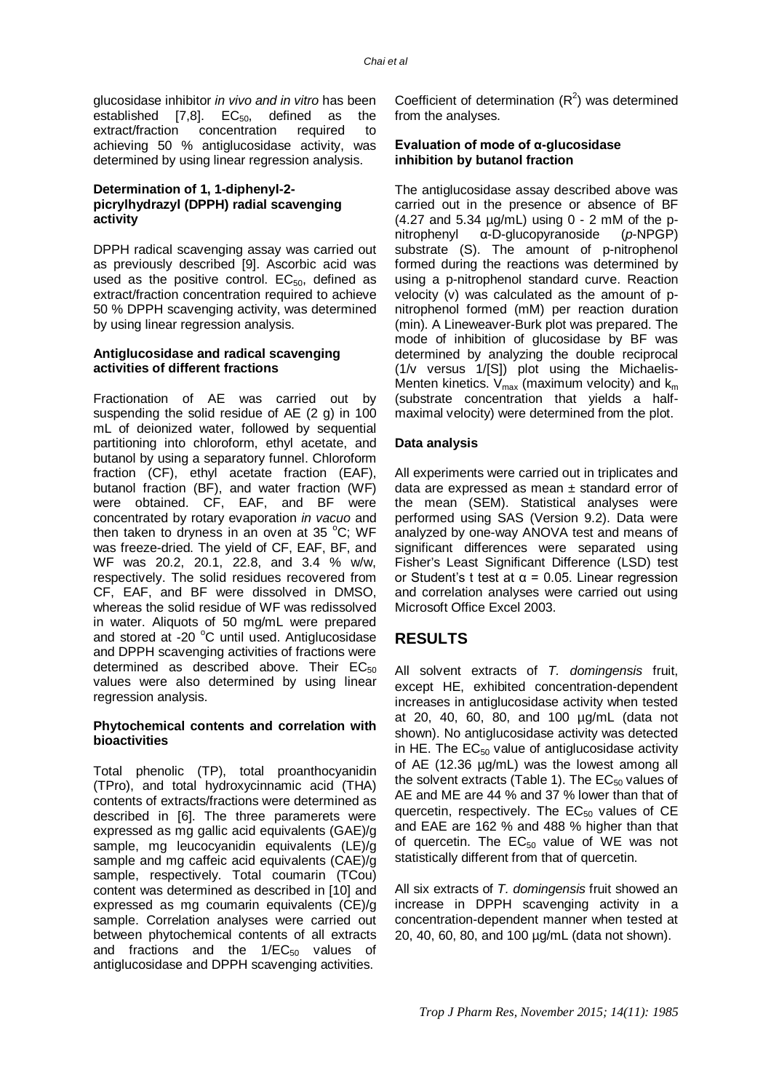glucosidase inhibitor *in vivo and in vitro* has been established  $[7,8]$ .  $EC_{50}$ , defined as the extract/fraction concentration required to achieving 50 % antiglucosidase activity, was determined by using linear regression analysis.

#### **Determination of 1, 1-diphenyl-2 picrylhydrazyl (DPPH) radial scavenging activity**

DPPH radical scavenging assay was carried out as previously described [9]. Ascorbic acid was used as the positive control.  $EC_{50}$ , defined as extract/fraction concentration required to achieve 50 % DPPH scavenging activity, was determined by using linear regression analysis.

#### **Antiglucosidase and radical scavenging activities of different fractions**

Fractionation of AE was carried out by suspending the solid residue of AE (2 g) in 100 mL of deionized water, followed by sequential partitioning into chloroform, ethyl acetate, and butanol by using a separatory funnel. Chloroform fraction (CF), ethyl acetate fraction (EAF), butanol fraction (BF), and water fraction (WF) were obtained. CF, EAF, and BF were concentrated by rotary evaporation *in vacuo* and then taken to dryness in an oven at 35  $^{\circ}$ C; WF was freeze-dried. The yield of CF, EAF, BF, and WF was 20.2, 20.1, 22.8, and 3.4 % w/w, respectively. The solid residues recovered from CF, EAF, and BF were dissolved in DMSO, whereas the solid residue of WF was redissolved in water. Aliquots of 50 mg/mL were prepared and stored at -20 $\degree$ C until used. Antiglucosidase and DPPH scavenging activities of fractions were determined as described above. Their  $EC_{50}$ values were also determined by using linear regression analysis.

#### **Phytochemical contents and correlation with bioactivities**

Total phenolic (TP), total proanthocyanidin (TPro), and total hydroxycinnamic acid (THA) contents of extracts/fractions were determined as described in [6]. The three paramerets were expressed as mg gallic acid equivalents (GAE)/g sample, mg leucocyanidin equivalents (LE)/g sample and mg caffeic acid equivalents (CAE)/g sample, respectively. Total coumarin (TCou) content was determined as described in [10] and expressed as mg coumarin equivalents (CE)/g sample. Correlation analyses were carried out between phytochemical contents of all extracts and fractions and the  $1/EC_{50}$  values of antiglucosidase and DPPH scavenging activities.

Coefficient of determination  $(R^2)$  was determined from the analyses.

#### **Evaluation of mode of α-glucosidase inhibition by butanol fraction**

The antiglucosidase assay described above was carried out in the presence or absence of BF  $(4.27$  and 5.34  $\mu$ g/mL) using 0 - 2 mM of the pnitrophenyl α-D-glucopyranoside (*p*-NPGP) substrate (S). The amount of p-nitrophenol formed during the reactions was determined by using a p-nitrophenol standard curve. Reaction velocity (v) was calculated as the amount of pnitrophenol formed (mM) per reaction duration (min). A Lineweaver-Burk plot was prepared. The mode of inhibition of glucosidase by BF was determined by analyzing the double reciprocal (1/v versus 1/[S]) plot using the Michaelis-Menten kinetics.  $V_{max}$  (maximum velocity) and  $k_m$ (substrate concentration that yields a halfmaximal velocity) were determined from the plot.

#### **Data analysis**

All experiments were carried out in triplicates and data are expressed as mean ± standard error of the mean (SEM). Statistical analyses were performed using SAS (Version 9.2). Data were analyzed by one-way ANOVA test and means of significant differences were separated using Fisher's Least Significant Difference (LSD) test or Student's t test at  $\alpha$  = 0.05. Linear regression and correlation analyses were carried out using Microsoft Office Excel 2003.

# **RESULTS**

All solvent extracts of *T. domingensis* fruit, except HE, exhibited concentration-dependent increases in antiglucosidase activity when tested at 20, 40, 60, 80, and 100 µg/mL (data not shown). No antiglucosidase activity was detected in HE. The  $EC_{50}$  value of antiglucosidase activity of AE (12.36 µg/mL) was the lowest among all the solvent extracts (Table 1). The  $EC_{50}$  values of AE and ME are 44 % and 37 % lower than that of quercetin, respectively. The  $EC_{50}$  values of CE and EAE are 162 % and 488 % higher than that of quercetin. The  $EC_{50}$  value of WE was not statistically different from that of quercetin.

All six extracts of *T. domingensis* fruit showed an increase in DPPH scavenging activity in a concentration-dependent manner when tested at 20, 40, 60, 80, and 100 µg/mL (data not shown).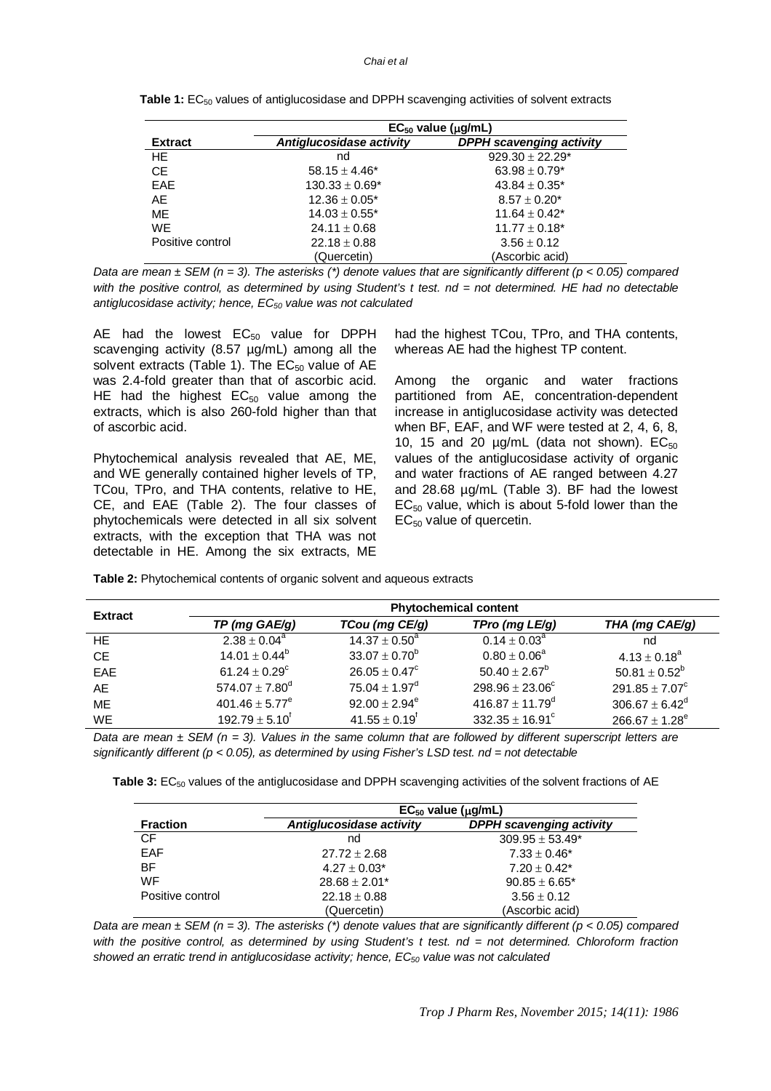#### *Chai et al*

|                  | $EC_{50}$ value ( $\mu q/mL$ ) |                                 |  |  |
|------------------|--------------------------------|---------------------------------|--|--|
| <b>Extract</b>   | Antiglucosidase activity       | <b>DPPH</b> scavenging activity |  |  |
| HE.              | nd                             | $929.30 \pm 22.29^*$            |  |  |
| <b>CE</b>        | $58.15 \pm 4.46^*$             | $63.98 \pm 0.79^*$              |  |  |
| <b>EAE</b>       | $130.33 \pm 0.69^*$            | $43.84 \pm 0.35^*$              |  |  |
| AE               | $12.36 \pm 0.05^*$             | $8.57 \pm 0.20^*$               |  |  |
| ME.              | $14.03 \pm 0.55^*$             | $11.64 \pm 0.42^*$              |  |  |
| <b>WE</b>        | $24.11 \pm 0.68$               | $11.77 \pm 0.18^*$              |  |  |
| Positive control | $22.18 \pm 0.88$               | $3.56 \pm 0.12$                 |  |  |
|                  | (Quercetin)                    | (Ascorbic acid)                 |  |  |

*Data are mean ± SEM (n = 3). The asterisks (\*) denote values that are significantly different (p < 0.05) compared*  with the positive control, as determined by using Student's t test. nd = not determined. HE had no detectable *antiglucosidase activity; hence, EC<sup>50</sup> value was not calculated*

AE had the lowest  $EC_{50}$  value for DPPH scavenging activity (8.57 µg/mL) among all the solvent extracts (Table 1). The  $EC_{50}$  value of AE was 2.4-fold greater than that of ascorbic acid. HE had the highest  $EC_{50}$  value among the extracts, which is also 260-fold higher than that of ascorbic acid.

Phytochemical analysis revealed that AE, ME, and WE generally contained higher levels of TP, TCou, TPro, and THA contents, relative to HE, CE, and EAE (Table 2). The four classes of phytochemicals were detected in all six solvent extracts, with the exception that THA was not detectable in HE. Among the six extracts, ME had the highest TCou, TPro, and THA contents, whereas AE had the highest TP content.

Among the organic and water fractions partitioned from AE, concentration-dependent increase in antiglucosidase activity was detected when BF, EAF, and WF were tested at 2, 4, 6, 8, 10, 15 and 20  $\mu$ g/mL (data not shown).  $EC_{50}$ values of the antiglucosidase activity of organic and water fractions of AE ranged between 4.27 and 28.68 µg/mL (Table 3). BF had the lowest  $EC_{50}$  value, which is about 5-fold lower than the  $EC_{50}$  value of quercetin.

| Table 2: Phytochemical contents of organic solvent and aqueous extracts |  |  |  |  |
|-------------------------------------------------------------------------|--|--|--|--|
|                                                                         |  |  |  |  |

| <b>Extract</b> | <b>Phytochemical content</b>  |                          |                                 |                                |  |
|----------------|-------------------------------|--------------------------|---------------------------------|--------------------------------|--|
|                | TP (mg GAE/g)                 | TCou (mg CE/g)           | TPro (mg LE/g)                  | THA (mg CAE/g)                 |  |
| HE.            | $2.38 \pm 0.04^a$             | $14.37 \pm 0.50^a$       | $0.14 \pm 0.03^a$               | nd                             |  |
| <b>CE</b>      | 14.01 $\pm$ 0.44 <sup>b</sup> | $33.07 \pm 0.70^b$       | $0.80 \pm 0.06^a$               | $4.13 \pm 0.18^a$              |  |
| EAE            | 61.24 $\pm$ 0.29 <sup>c</sup> | $26.05 \pm 0.47^{\circ}$ | $50.40 \pm 2.67^b$              | $50.81 \pm 0.52^b$             |  |
| AE             | $574.07 \pm 7.80^{\rm d}$     | $75.04 \pm 1.97^{\rm d}$ | $298.96 \pm 23.06^{\circ}$      | 291.85 $\pm$ 7.07 <sup>c</sup> |  |
| <b>ME</b>      | $401.46 \pm 5.77^e$           | $92.00 \pm 2.94^e$       | 416.87 $\pm$ 11.79 <sup>d</sup> | $306.67 \pm 6.42^d$            |  |
| <b>WE</b>      | $192.79 \pm 5.10^{\dagger}$   | $41.55 \pm 0.19^f$       | $332.35 \pm 16.91^{\circ}$      | $266.67 \pm 1.28^e$            |  |

*Data are mean ± SEM (n = 3). Values in the same column that are followed by different superscript letters are significantly different (p < 0.05), as determined by using Fisher's LSD test. nd = not detectable*

**Table 3:** EC<sub>50</sub> values of the antiglucosidase and DPPH scavenging activities of the solvent fractions of AE

|                  | $EC_{50}$ value ( $\mu q/mL$ ) |                                 |  |  |
|------------------|--------------------------------|---------------------------------|--|--|
| <b>Fraction</b>  | Antiglucosidase activity       | <b>DPPH scavenging activity</b> |  |  |
| <b>CF</b>        | nd                             | $309.95 \pm 53.49^*$            |  |  |
| <b>EAF</b>       | $27.72 \pm 2.68$               | $7.33 \pm 0.46^*$               |  |  |
| BF               | $4.27 \pm 0.03^*$              | $7.20 \pm 0.42^*$               |  |  |
| <b>WF</b>        | $28.68 \pm 2.01*$              | $90.85 \pm 6.65^*$              |  |  |
| Positive control | $22.18 \pm 0.88$               | $3.56 \pm 0.12$                 |  |  |
|                  | (Quercetin)                    | (Ascorbic acid)                 |  |  |

*Data are mean ± SEM (n = 3). The asterisks (\*) denote values that are significantly different (p < 0.05) compared*  with the positive control, as determined by using Student's t test. nd = not determined. Chloroform fraction *showed an erratic trend in antiglucosidase activity; hence, EC<sup>50</sup> value was not calculated*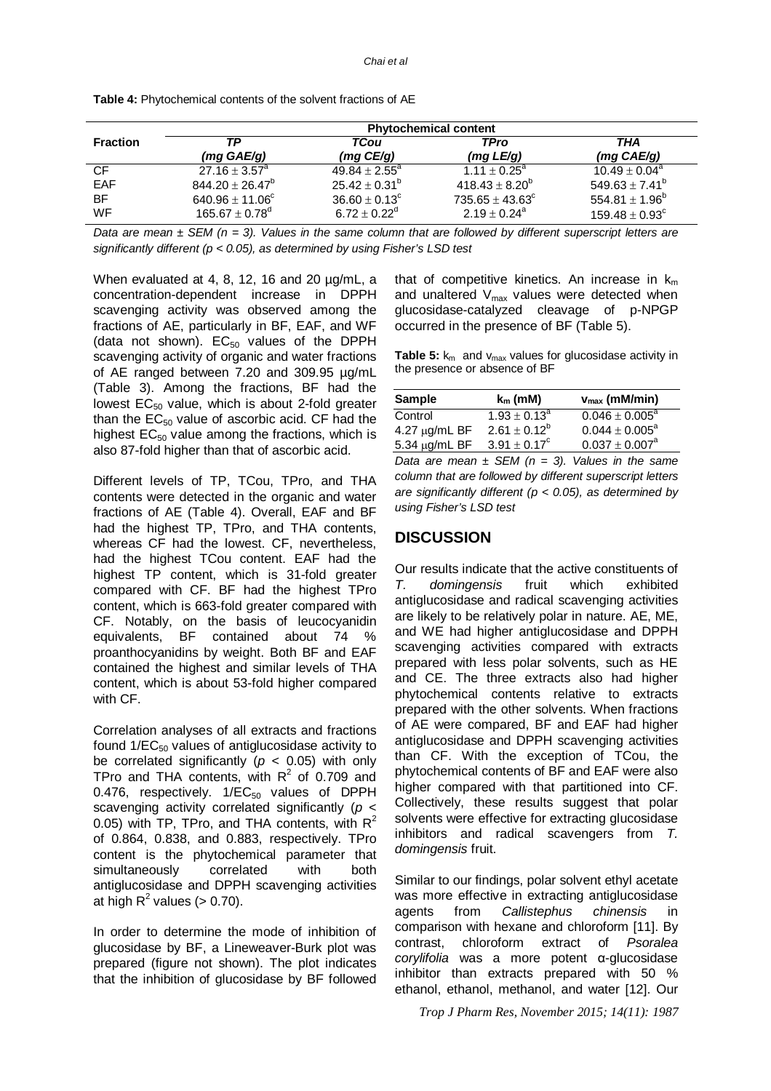|                 | <b>Phytochemical content</b>   |                    |                            |                                |
|-----------------|--------------------------------|--------------------|----------------------------|--------------------------------|
| <b>Fraction</b> | ТP<br>$(mg \text{ GAE}/g)$     | TCou<br>(mg C E/g) | <b>TPro</b><br>(mg L E/g)  | THA<br>(mg CAE/g)              |
| CF              | $27.16 \pm 3.57^{\circ}$       | $49.84 \pm 2.55^a$ | $1.11 \pm 0.25^{\circ}$    | $10.49 \pm 0.04^a$             |
| EAF             | $844.20 \pm 26.47^b$           | $25.42 \pm 0.31^b$ | $418.43 \pm 8.20^b$        | 549.63 $\pm$ 7.41 <sup>b</sup> |
| <b>BF</b>       | 640.96 $\pm$ 11.06 $^{\circ}$  | $36.60 \pm 0.13^c$ | $735.65 \pm 43.63^{\circ}$ | 554.81 $\pm$ 1.96 <sup>b</sup> |
| <b>WF</b>       | 165.67 $\pm$ 0.78 <sup>d</sup> | $6.72 \pm 0.22^d$  | $2.19 \pm 0.24^{\circ}$    | $159.48 \pm 0.93^c$            |

**Table 4:** Phytochemical contents of the solvent fractions of AE

*Data are mean ± SEM (n = 3). Values in the same column that are followed by different superscript letters are significantly different (p < 0.05), as determined by using Fisher's LSD test*

When evaluated at 4, 8, 12, 16 and 20 µg/mL, a concentration-dependent increase in DPPH scavenging activity was observed among the fractions of AE, particularly in BF, EAF, and WF (data not shown).  $EC_{50}$  values of the DPPH scavenging activity of organic and water fractions of AE ranged between 7.20 and 309.95 µg/mL (Table 3). Among the fractions, BF had the lowest  $EC_{50}$  value, which is about 2-fold greater than the  $EC_{50}$  value of ascorbic acid. CF had the highest  $EC_{50}$  value among the fractions, which is also 87-fold higher than that of ascorbic acid.

Different levels of TP, TCou, TPro, and THA contents were detected in the organic and water fractions of AE (Table 4). Overall, EAF and BF had the highest TP, TPro, and THA contents, whereas CF had the lowest. CF, nevertheless, had the highest TCou content. EAF had the highest TP content, which is 31-fold greater compared with CF. BF had the highest TPro content, which is 663-fold greater compared with CF. Notably, on the basis of leucocyanidin equivalents, BF contained about 74 % proanthocyanidins by weight. Both BF and EAF contained the highest and similar levels of THA content, which is about 53-fold higher compared with CF.

Correlation analyses of all extracts and fractions found  $1/EC_{50}$  values of antiglucosidase activity to be correlated significantly ( $p < 0.05$ ) with only TPro and THA contents, with  $R^2$  of 0.709 and 0.476, respectively.  $1/EC_{50}$  values of DPPH scavenging activity correlated significantly (*p* < 0.05) with TP, TPro, and THA contents, with  $R^2$ of 0.864, 0.838, and 0.883, respectively. TPro content is the phytochemical parameter that simultaneously correlated with both antiglucosidase and DPPH scavenging activities at high  $R^2$  values (> 0.70).

In order to determine the mode of inhibition of glucosidase by BF, a Lineweaver-Burk plot was prepared (figure not shown). The plot indicates that the inhibition of glucosidase by BF followed

that of competitive kinetics. An increase in  $k_m$ and unaltered  $V_{\text{max}}$  values were detected when glucosidase-catalyzed cleavage of p-NPGP occurred in the presence of BF (Table 5).

**Table 5:**  $k_m$  and  $v_{max}$  values for glucosidase activity in the presence or absence of BF

| <b>Sample</b>      | $k_m$ (mM)        | $v_{\text{max}}$ (mM/min) |
|--------------------|-------------------|---------------------------|
| Control            | $1.93 \pm 0.13^a$ | $0.046 \pm 0.005^{\circ}$ |
| 4.27 $\mu$ g/mL BF | $2.61 \pm 0.12^b$ | $0.044 \pm 0.005^a$       |
| 5.34 µg/mL BF      | $3.91 \pm 0.17^c$ | $0.037 \pm 0.007^a$       |

*Data are mean*  $\pm$  *SEM (n = 3). Values in the same column that are followed by different superscript letters are significantly different (p < 0.05), as determined by using Fisher's LSD test*

### **DISCUSSION**

Our results indicate that the active constituents of *T. domingensis* fruit which exhibited antiglucosidase and radical scavenging activities are likely to be relatively polar in nature. AE, ME, and WE had higher antiglucosidase and DPPH scavenging activities compared with extracts prepared with less polar solvents, such as HE and CE. The three extracts also had higher phytochemical contents relative to extracts prepared with the other solvents. When fractions of AE were compared, BF and EAF had higher antiglucosidase and DPPH scavenging activities than CF. With the exception of TCou, the phytochemical contents of BF and EAF were also higher compared with that partitioned into CF. Collectively, these results suggest that polar solvents were effective for extracting glucosidase inhibitors and radical scavengers from *T. domingensis* fruit.

Similar to our findings, polar solvent ethyl acetate was more effective in extracting antiglucosidase agents from *Callistephus chinensis* in comparison with hexane and chloroform [11]. By contrast, chloroform extract of *Psoralea corylifolia* was a more potent α-glucosidase inhibitor than extracts prepared with 50 % ethanol, ethanol, methanol, and water [12]. Our

*Trop J Pharm Res, November 2015; 14(11): 1987*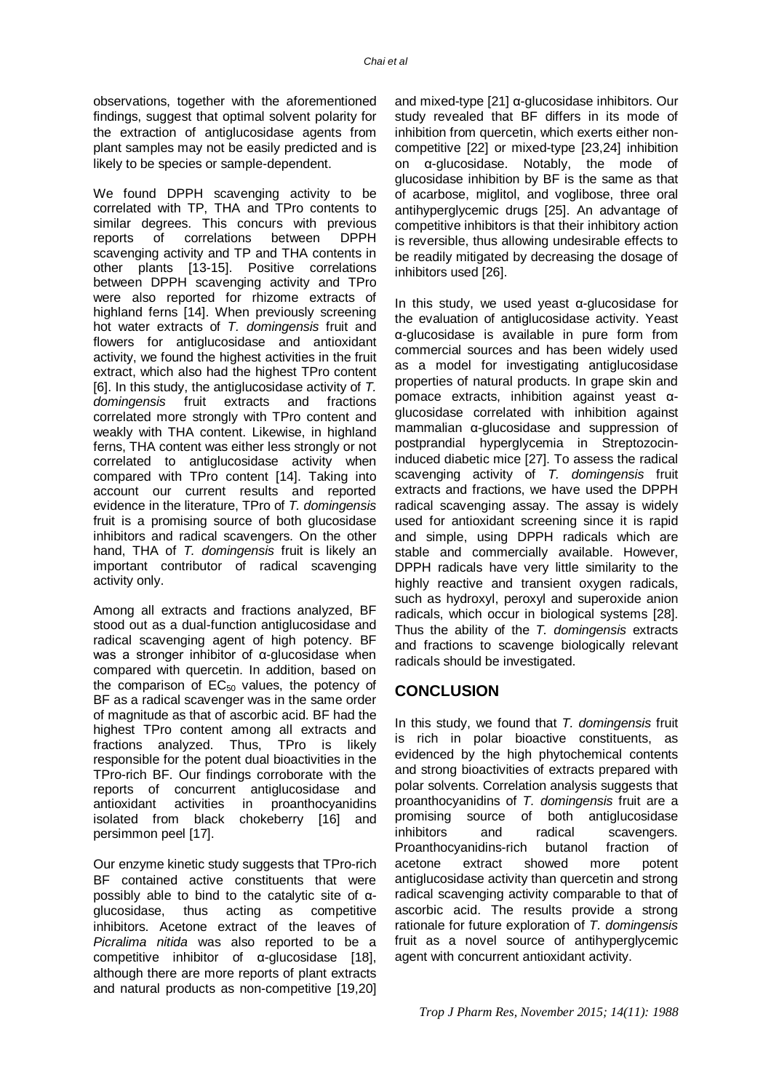observations, together with the aforementioned findings, suggest that optimal solvent polarity for the extraction of antiglucosidase agents from plant samples may not be easily predicted and is likely to be species or sample-dependent.

We found DPPH scavenging activity to be correlated with TP, THA and TPro contents to similar degrees. This concurs with previous reports of correlations between DPPH scavenging activity and TP and THA contents in other plants [13-15]. Positive correlations between DPPH scavenging activity and TPro were also reported for rhizome extracts of highland ferns [14]. When previously screening hot water extracts of *T. domingensis* fruit and flowers for antiglucosidase and antioxidant activity, we found the highest activities in the fruit extract, which also had the highest TPro content [6]. In this study, the antiglucosidase activity of *T. domingensis* fruit extracts and fractions correlated more strongly with TPro content and weakly with THA content. Likewise, in highland ferns, THA content was either less strongly or not correlated to antiglucosidase activity when compared with TPro content [14]. Taking into account our current results and reported evidence in the literature, TPro of *T. domingensis* fruit is a promising source of both glucosidase inhibitors and radical scavengers. On the other hand, THA of *T. domingensis* fruit is likely an important contributor of radical scavenging activity only.

Among all extracts and fractions analyzed, BF stood out as a dual-function antiglucosidase and radical scavenging agent of high potency. BF was a stronger inhibitor of α-glucosidase when compared with quercetin. In addition, based on the comparison of  $EC_{50}$  values, the potency of BF as a radical scavenger was in the same order of magnitude as that of ascorbic acid. BF had the highest TPro content among all extracts and fractions analyzed. Thus, TPro is likely responsible for the potent dual bioactivities in the TPro-rich BF. Our findings corroborate with the reports of concurrent antiglucosidase and antioxidant activities in proanthocyanidins isolated from black chokeberry [16] and persimmon peel [17].

Our enzyme kinetic study suggests that TPro-rich BF contained active constituents that were possibly able to bind to the catalytic site of αglucosidase, thus acting as competitive inhibitors. Acetone extract of the leaves of *Picralima nitida* was also reported to be a competitive inhibitor of α-glucosidase [18], although there are more reports of plant extracts and natural products as non-competitive [19,20]

and mixed-type  $[21]$   $\alpha$ -glucosidase inhibitors. Our study revealed that BF differs in its mode of inhibition from quercetin, which exerts either noncompetitive [22] or mixed-type [23,24] inhibition on α-glucosidase. Notably, the mode of glucosidase inhibition by BF is the same as that of acarbose, miglitol, and voglibose, three oral antihyperglycemic drugs [25]. An advantage of competitive inhibitors is that their inhibitory action is reversible, thus allowing undesirable effects to be readily mitigated by decreasing the dosage of inhibitors used [26].

In this study, we used yeast α-glucosidase for the evaluation of antiglucosidase activity. Yeast α-glucosidase is available in pure form from commercial sources and has been widely used as a model for investigating antiglucosidase properties of natural products. In grape skin and pomace extracts, inhibition against yeast αglucosidase correlated with inhibition against mammalian α-glucosidase and suppression of postprandial hyperglycemia in Streptozocininduced diabetic mice [27]. To assess the radical scavenging activity of *T. domingensis* fruit extracts and fractions, we have used the DPPH radical scavenging assay. The assay is widely used for antioxidant screening since it is rapid and simple, using DPPH radicals which are stable and commercially available. However, DPPH radicals have very little similarity to the highly reactive and transient oxygen radicals, such as hydroxyl, peroxyl and superoxide anion radicals, which occur in biological systems [28]. Thus the ability of the *T. domingensis* extracts and fractions to scavenge biologically relevant radicals should be investigated.

# **CONCLUSION**

In this study, we found that *T. domingensis* fruit is rich in polar bioactive constituents, as evidenced by the high phytochemical contents and strong bioactivities of extracts prepared with polar solvents. Correlation analysis suggests that proanthocyanidins of *T. domingensis* fruit are a promising source of both antiglucosidase inhibitors and radical scavengers. Proanthocyanidins-rich butanol fraction of acetone extract showed more potent antiglucosidase activity than quercetin and strong radical scavenging activity comparable to that of ascorbic acid. The results provide a strong rationale for future exploration of *T. domingensis* fruit as a novel source of antihyperglycemic agent with concurrent antioxidant activity.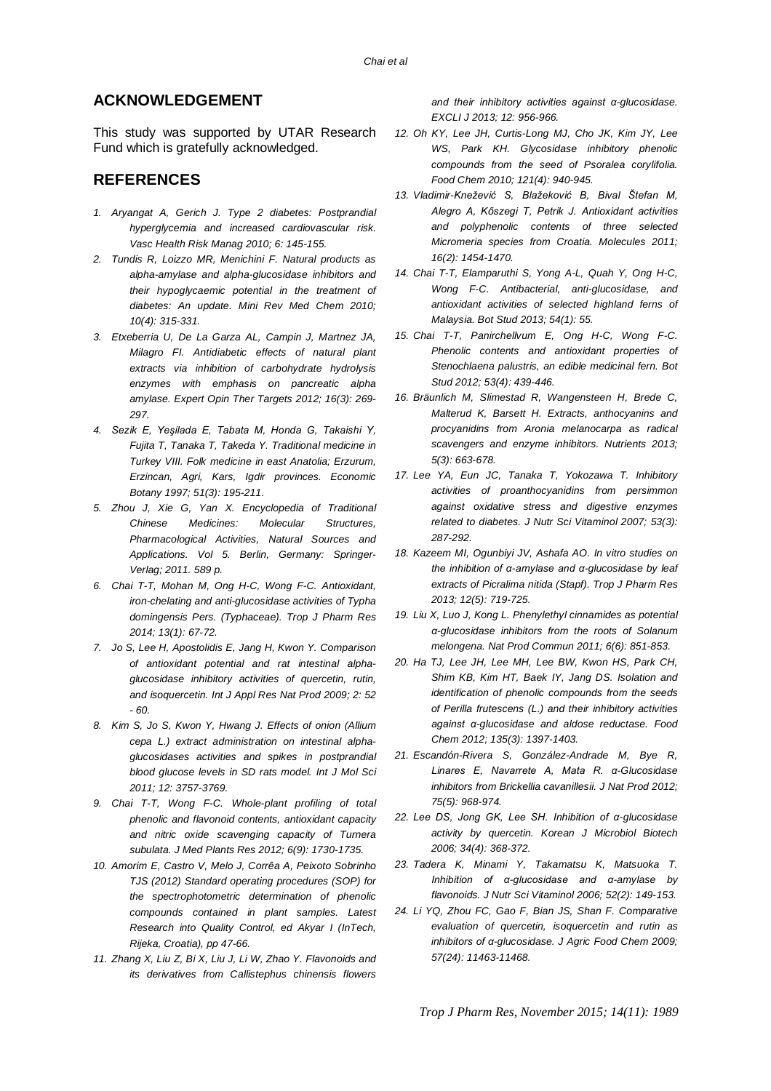# **ACKNOWLEDGEMENT**

This study was supported by UTAR Research Fund which is gratefully acknowledged.

# **REFERENCES**

- *1. Aryangat A, Gerich J. Type 2 diabetes: Postprandial hyperglycemia and increased cardiovascular risk. Vasc Health Risk Manag 2010; 6: 145-155.*
- *2. Tundis R, Loizzo MR, Menichini F. Natural products as alpha-amylase and alpha-glucosidase inhibitors and their hypoglycaemic potential in the treatment of diabetes: An update. Mini Rev Med Chem 2010; 10(4): 315-331.*
- *3. Etxeberria U, De La Garza AL, Campin J, Martnez JA, Milagro FI. Antidiabetic effects of natural plant extracts via inhibition of carbohydrate hydrolysis enzymes with emphasis on pancreatic alpha amylase. Expert Opin Ther Targets 2012; 16(3): 269- 297.*
- *4. Sezik E, Yeşilada E, Tabata M, Honda G, Takaishi Y, Fujita T, Tanaka T, Takeda Y. Traditional medicine in Turkey VIII. Folk medicine in east Anatolia; Erzurum, Erzincan, Agri, Kars, Igdir provinces. Economic Botany 1997; 51(3): 195-211.*
- *5. Zhou J, Xie G, Yan X. Encyclopedia of Traditional Chinese Medicines: Molecular Structures, Pharmacological Activities, Natural Sources and Applications. Vol 5. Berlin, Germany: Springer-Verlag; 2011. 589 p.*
- *6. Chai T-T, Mohan M, Ong H-C, Wong F-C. Antioxidant, iron-chelating and anti-glucosidase activities of Typha domingensis Pers. (Typhaceae). Trop J Pharm Res 2014; 13(1): 67-72.*
- *7. Jo S, Lee H, Apostolidis E, Jang H, Kwon Y. Comparison of antioxidant potential and rat intestinal alphaglucosidase inhibitory activities of quercetin, rutin, and isoquercetin. Int J Appl Res Nat Prod 2009; 2: 52 - 60.*
- *8. Kim S, Jo S, Kwon Y, Hwang J. Effects of onion (Allium cepa L.) extract administration on intestinal alphaglucosidases activities and spikes in postprandial blood glucose levels in SD rats model. Int J Mol Sci 2011; 12: 3757-3769.*
- *9. Chai T-T, Wong F-C. Whole-plant profiling of total phenolic and flavonoid contents, antioxidant capacity and nitric oxide scavenging capacity of Turnera subulata. J Med Plants Res 2012; 6(9): 1730-1735.*
- *10. Amorim E, Castro V, Melo J, Corrêa A, Peixoto Sobrinho TJS (2012) Standard operating procedures (SOP) for the spectrophotometric determination of phenolic compounds contained in plant samples. Latest Research into Quality Control, ed Akyar I (InTech, Rijeka, Croatia), pp 47-66.*
- *11. Zhang X, Liu Z, Bi X, Liu J, Li W, Zhao Y. Flavonoids and its derivatives from Callistephus chinensis flowers*

*and their inhibitory activities against α-glucosidase. EXCLI J 2013; 12: 956-966.*

- *12. Oh KY, Lee JH, Curtis-Long MJ, Cho JK, Kim JY, Lee WS, Park KH. Glycosidase inhibitory phenolic compounds from the seed of Psoralea corylifolia. Food Chem 2010; 121(4): 940-945.*
- *13. Vladimir-Knežević S, Blažeković B, Bival Štefan M, Alegro A, Kőszegi T, Petrik J. Antioxidant activities and polyphenolic contents of three selected Micromeria species from Croatia. Molecules 2011; 16(2): 1454-1470.*
- *14. Chai T-T, Elamparuthi S, Yong A-L, Quah Y, Ong H-C, Wong F-C. Antibacterial, anti-glucosidase, and antioxidant activities of selected highland ferns of Malaysia. Bot Stud 2013; 54(1): 55.*
- *15. Chai T-T, Panirchellvum E, Ong H-C, Wong F-C. Phenolic contents and antioxidant properties of Stenochlaena palustris, an edible medicinal fern. Bot Stud 2012; 53(4): 439-446.*
- *16. Bräunlich M, Slimestad R, Wangensteen H, Brede C, Malterud K, Barsett H. Extracts, anthocyanins and procyanidins from Aronia melanocarpa as radical scavengers and enzyme inhibitors. Nutrients 2013; 5(3): 663-678.*
- *17. Lee YA, Eun JC, Tanaka T, Yokozawa T. Inhibitory activities of proanthocyanidins from persimmon against oxidative stress and digestive enzymes related to diabetes. J Nutr Sci Vitaminol 2007; 53(3): 287-292.*
- *18. Kazeem MI, Ogunbiyi JV, Ashafa AO. In vitro studies on the inhibition of α-amylase and α-glucosidase by leaf extracts of Picralima nitida (Stapf). Trop J Pharm Res 2013; 12(5): 719-725.*
- *19. Liu X, Luo J, Kong L. Phenylethyl cinnamides as potential α-glucosidase inhibitors from the roots of Solanum melongena. Nat Prod Commun 2011; 6(6): 851-853.*
- *20. Ha TJ, Lee JH, Lee MH, Lee BW, Kwon HS, Park CH, Shim KB, Kim HT, Baek IY, Jang DS. Isolation and identification of phenolic compounds from the seeds of Perilla frutescens (L.) and their inhibitory activities against α-glucosidase and aldose reductase. Food Chem 2012; 135(3): 1397-1403.*
- *21. Escandón-Rivera S, González-Andrade M, Bye R, Linares E, Navarrete A, Mata R. α-Glucosidase inhibitors from Brickellia cavanillesii. J Nat Prod 2012; 75(5): 968-974.*
- *22. Lee DS, Jong GK, Lee SH. Inhibition of α-glucosidase activity by quercetin. Korean J Microbiol Biotech 2006; 34(4): 368-372.*
- *23. Tadera K, Minami Y, Takamatsu K, Matsuoka T. Inhibition of α-glucosidase and α-amylase by flavonoids. J Nutr Sci Vitaminol 2006; 52(2): 149-153.*
- *24. Li YQ, Zhou FC, Gao F, Bian JS, Shan F. Comparative evaluation of quercetin, isoquercetin and rutin as inhibitors of α-glucosidase. J Agric Food Chem 2009; 57(24): 11463-11468.*

*Trop J Pharm Res, November 2015; 14(11): 1989*